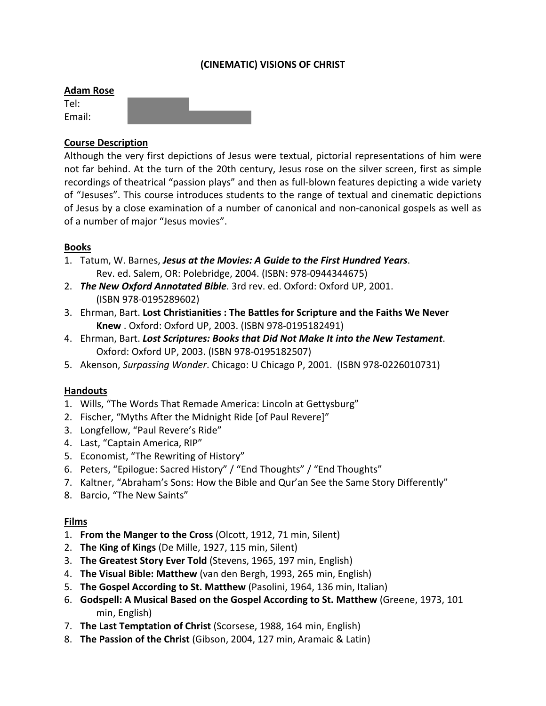## **(CINEMATIC) VISIONS OF CHRIST**

#### **Adam Rose**

Tel: Email:

#### **Course Description**

Although the very first depictions of Jesus were textual, pictorial representations of him were not far behind. At the turn of the 20th century, Jesus rose on the silver screen, first as simple recordings of theatrical "passion plays" and then as full-blown features depicting a wide variety of "Jesuses". This course introduces students to the range of textual and cinematic depictions of Jesus by a close examination of a number of canonical and non-canonical gospels as well as of a number of major "Jesus movies".

#### **Books**

- 1. Tatum, W. Barnes, *Jesus at the Movies: A Guide to the First Hundred Years*. Rev. ed. Salem, OR: Polebridge, 2004. (ISBN: 978-0944344675)
- 2. *The New Oxford Annotated Bible*. 3rd rev. ed. Oxford: Oxford UP, 2001. (ISBN 978-0195289602)
- 3. Ehrman, Bart. **Lost Christianities : The Battles for Scripture and the Faiths We Never Knew** . Oxford: Oxford UP, 2003. (ISBN 978-0195182491)
- 4. Ehrman, Bart. *Lost Scriptures: Books that Did Not Make It into the New Testament*. Oxford: Oxford UP, 2003. (ISBN 978-0195182507)
- 5. Akenson, *Surpassing Wonder*. Chicago: U Chicago P, 2001. (ISBN 978-0226010731)

#### **Handouts**

- 1. Wills, "The Words That Remade America: Lincoln at Gettysburg"
- 2. Fischer, "Myths After the Midnight Ride [of Paul Revere]"
- 3. Longfellow, "Paul Revere's Ride"
- 4. Last, "Captain America, RIP"
- 5. Economist, "The Rewriting of History"
- 6. Peters, "Epilogue: Sacred History" / "End Thoughts" / "End Thoughts"
- 7. Kaltner, "Abraham's Sons: How the Bible and Qur'an See the Same Story Differently"
- 8. Barcio, "The New Saints"

#### **Films**

- 1. **From the Manger to the Cross** (Olcott, 1912, 71 min, Silent)
- 2. **The King of Kings** (De Mille, 1927, 115 min, Silent)
- 3. **The Greatest Story Ever Told** (Stevens, 1965, 197 min, English)
- 4. **The Visual Bible: Matthew** (van den Bergh, 1993, 265 min, English)
- 5. **The Gospel According to St. Matthew** (Pasolini, 1964, 136 min, Italian)
- 6. **Godspell: A Musical Based on the Gospel According to St. Matthew** (Greene, 1973, 101 min, English)
- 7. **The Last Temptation of Christ** (Scorsese, 1988, 164 min, English)
- 8. **The Passion of the Christ** (Gibson, 2004, 127 min, Aramaic & Latin)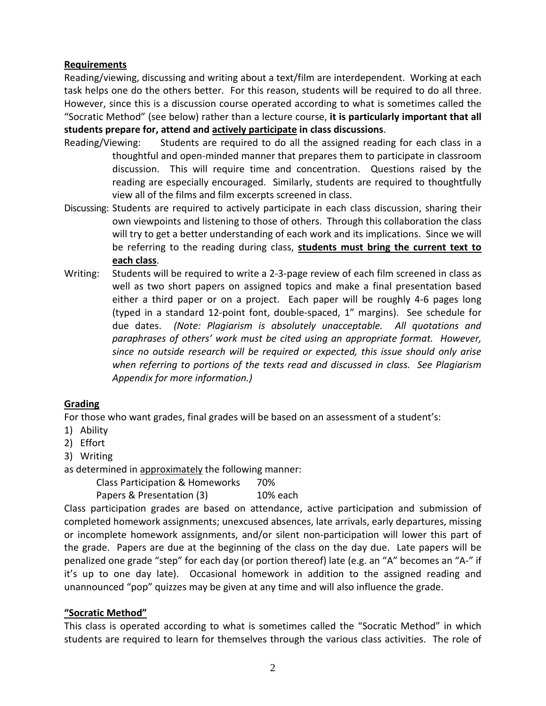## **Requirements**

Reading/viewing, discussing and writing about a text/film are interdependent. Working at each task helps one do the others better. For this reason, students will be required to do all three. However, since this is a discussion course operated according to what is sometimes called the "Socratic Method" (see below) rather than a lecture course, **it is particularly important that all students prepare for, attend and actively participate in class discussions**.

- Reading/Viewing: Students are required to do all the assigned reading for each class in a thoughtful and open-minded manner that prepares them to participate in classroom discussion. This will require time and concentration. Questions raised by the reading are especially encouraged. Similarly, students are required to thoughtfully view all of the films and film excerpts screened in class.
- Discussing: Students are required to actively participate in each class discussion, sharing their own viewpoints and listening to those of others. Through this collaboration the class will try to get a better understanding of each work and its implications. Since we will be referring to the reading during class, **students must bring the current text to each class**.
- Writing: Students will be required to write a 2-3-page review of each film screened in class as well as two short papers on assigned topics and make a final presentation based either a third paper or on a project. Each paper will be roughly 4-6 pages long (typed in a standard 12-point font, double-spaced, 1" margins). See schedule for due dates. *(Note: Plagiarism is absolutely unacceptable. All quotations and paraphrases of others' work must be cited using an appropriate format. However, since no outside research will be required or expected, this issue should only arise when referring to portions of the texts read and discussed in class. See Plagiarism Appendix for more information.)*

## **Grading**

For those who want grades, final grades will be based on an assessment of a student's:

- 1) Ability
- 2) Effort
- 3) Writing

as determined in approximately the following manner:

Class Participation & Homeworks 70%

Papers & Presentation (3) 10% each

Class participation grades are based on attendance, active participation and submission of completed homework assignments; unexcused absences, late arrivals, early departures, missing or incomplete homework assignments, and/or silent non-participation will lower this part of the grade. Papers are due at the beginning of the class on the day due. Late papers will be penalized one grade "step" for each day (or portion thereof) late (e.g. an "A" becomes an "A-" if it's up to one day late). Occasional homework in addition to the assigned reading and unannounced "pop" quizzes may be given at any time and will also influence the grade.

# **"Socratic Method"**

This class is operated according to what is sometimes called the "Socratic Method" in which students are required to learn for themselves through the various class activities. The role of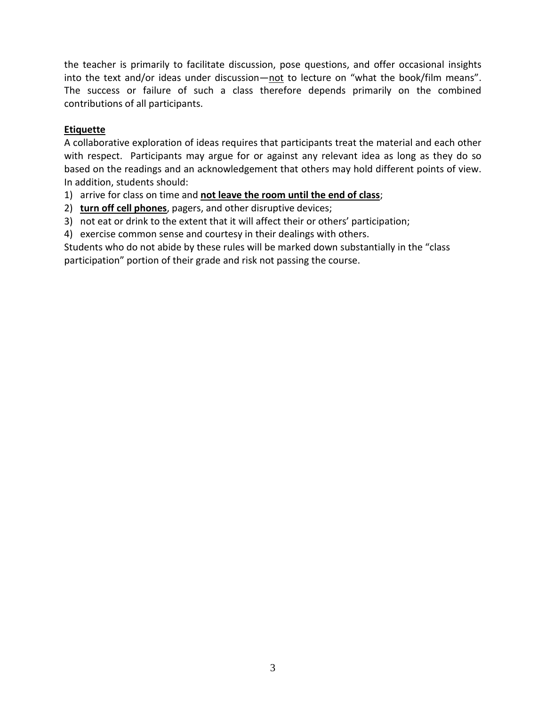the teacher is primarily to facilitate discussion, pose questions, and offer occasional insights into the text and/or ideas under discussion—not to lecture on "what the book/film means". The success or failure of such a class therefore depends primarily on the combined contributions of all participants.

## **Etiquette**

A collaborative exploration of ideas requires that participants treat the material and each other with respect. Participants may argue for or against any relevant idea as long as they do so based on the readings and an acknowledgement that others may hold different points of view. In addition, students should:

1) arrive for class on time and **not leave the room until the end of class**;

2) **turn off cell phones**, pagers, and other disruptive devices;

3) not eat or drink to the extent that it will affect their or others' participation;

4) exercise common sense and courtesy in their dealings with others.

Students who do not abide by these rules will be marked down substantially in the "class participation" portion of their grade and risk not passing the course.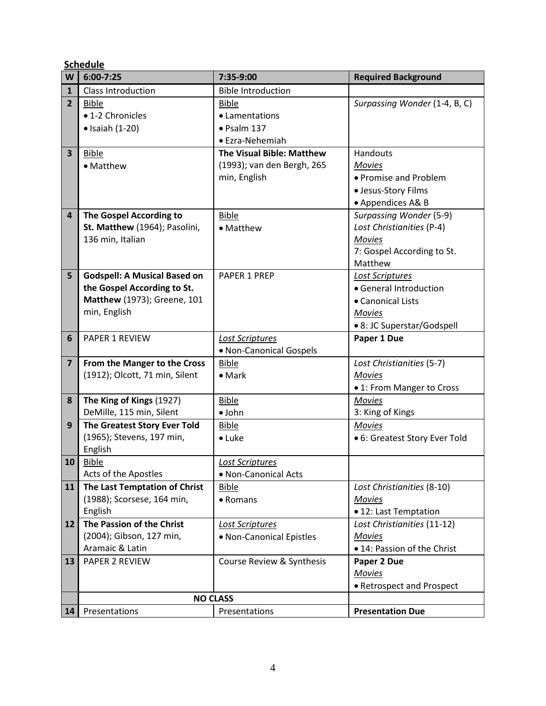**Schedule**

| W                       | $6:00 - 7:25$                                               | 7:35-9:00                  | <b>Required Background</b>                   |
|-------------------------|-------------------------------------------------------------|----------------------------|----------------------------------------------|
| $\mathbf{1}$            | <b>Class Introduction</b>                                   | <b>Bible Introduction</b>  |                                              |
| $\overline{2}$          | <b>Bible</b>                                                | <b>Bible</b>               | Surpassing Wonder (1-4, B, C)                |
|                         | • 1-2 Chronicles                                            | • Lamentations             |                                              |
|                         | $\bullet$ Isaiah (1-20)                                     | $\bullet$ Psalm 137        |                                              |
|                         |                                                             | • Ezra-Nehemiah            |                                              |
| $\overline{\mathbf{3}}$ | <b>Bible</b>                                                | The Visual Bible: Matthew  | Handouts                                     |
|                         | • Matthew                                                   | (1993); van den Bergh, 265 | <b>Movies</b>                                |
|                         |                                                             | min, English               | • Promise and Problem                        |
|                         |                                                             |                            | · Jesus-Story Films                          |
|                         |                                                             |                            | • Appendices A& B                            |
| $\overline{\mathbf{4}}$ | The Gospel According to                                     | <b>Bible</b>               | Surpassing Wonder (5-9)                      |
|                         | St. Matthew (1964); Pasolini,                               | • Matthew                  | Lost Christianities (P-4)                    |
|                         | 136 min, Italian                                            |                            | <b>Movies</b>                                |
|                         |                                                             |                            | 7: Gospel According to St.                   |
|                         |                                                             |                            | Matthew                                      |
| 5                       | <b>Godspell: A Musical Based on</b>                         | <b>PAPER 1 PREP</b>        | <b>Lost Scriptures</b>                       |
|                         | the Gospel According to St.                                 |                            | • General Introduction                       |
|                         | Matthew (1973); Greene, 101                                 |                            | • Canonical Lists                            |
|                         | min, English                                                |                            | <b>Movies</b>                                |
|                         |                                                             |                            | • 8: JC Superstar/Godspell                   |
| 6                       | <b>PAPER 1 REVIEW</b>                                       | Lost Scriptures            | Paper 1 Due                                  |
|                         |                                                             | • Non-Canonical Gospels    |                                              |
| $\overline{\mathbf{z}}$ | From the Manger to the Cross                                | <b>Bible</b>               | Lost Christianities (5-7)                    |
|                         | (1912); Olcott, 71 min, Silent                              | $\bullet$ Mark             | <b>Movies</b>                                |
|                         |                                                             |                            | • 1: From Manger to Cross                    |
| 8                       | The King of Kings (1927)                                    | <b>Bible</b>               | <b>Movies</b>                                |
|                         | DeMille, 115 min, Silent                                    | $\bullet$ John             | 3: King of Kings                             |
| 9                       | The Greatest Story Ever Told                                | <b>Bible</b>               | <b>Movies</b>                                |
|                         | (1965); Stevens, 197 min,                                   | $\bullet$ Luke             | • 6: Greatest Story Ever Told                |
|                         | English                                                     |                            |                                              |
| 10                      | <b>Bible</b>                                                | Lost Scriptures            |                                              |
|                         | Acts of the Apostles                                        | • Non-Canonical Acts       |                                              |
| 11                      | The Last Temptation of Christ<br>(1988); Scorsese, 164 min, | <b>Bible</b>               | Lost Christianities (8-10)                   |
|                         | English                                                     | • Romans                   | <b>Movies</b><br>• 12: Last Temptation       |
| 12                      | The Passion of the Christ                                   |                            |                                              |
|                         | (2004); Gibson, 127 min,                                    | Lost Scriptures            | Lost Christianities (11-12)<br><b>Movies</b> |
|                         | Aramaic & Latin                                             | • Non-Canonical Epistles   | • 14: Passion of the Christ                  |
|                         | <b>PAPER 2 REVIEW</b>                                       | Course Review & Synthesis  |                                              |
| 13                      |                                                             |                            | Paper 2 Due<br><b>Movies</b>                 |
|                         |                                                             |                            | • Retrospect and Prospect                    |
|                         |                                                             | <b>NO CLASS</b>            |                                              |
| 14                      | Presentations                                               | Presentations              | <b>Presentation Due</b>                      |
|                         |                                                             |                            |                                              |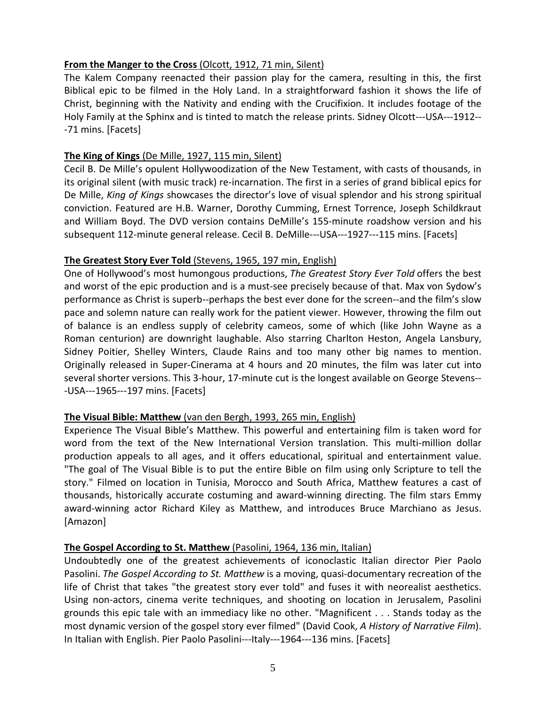## **From the Manger to the Cross** (Olcott, 1912, 71 min, Silent)

The Kalem Company reenacted their passion play for the camera, resulting in this, the first Biblical epic to be filmed in the Holy Land. In a straightforward fashion it shows the life of Christ, beginning with the Nativity and ending with the Crucifixion. It includes footage of the Holy Family at the Sphinx and is tinted to match the release prints. Sidney Olcott---USA---1912-- -71 mins. [Facets]

## **The King of Kings** (De Mille, 1927, 115 min, Silent)

Cecil B. De Mille's opulent Hollywoodization of the New Testament, with casts of thousands, in its original silent (with music track) re-incarnation. The first in a series of grand biblical epics for De Mille, *King of Kings* showcases the director's love of visual splendor and his strong spiritual conviction. Featured are H.B. Warner, Dorothy Cumming, Ernest Torrence, Joseph Schildkraut and William Boyd. The DVD version contains DeMille's 155-minute roadshow version and his subsequent 112-minute general release. Cecil B. DeMille---USA---1927---115 mins. [Facets]

## **The Greatest Story Ever Told** (Stevens, 1965, 197 min, English)

One of Hollywood's most humongous productions, *The Greatest Story Ever Told* offers the best and worst of the epic production and is a must-see precisely because of that. Max von Sydow's performance as Christ is superb--perhaps the best ever done for the screen--and the film's slow pace and solemn nature can really work for the patient viewer. However, throwing the film out of balance is an endless supply of celebrity cameos, some of which (like John Wayne as a Roman centurion) are downright laughable. Also starring Charlton Heston, Angela Lansbury, Sidney Poitier, Shelley Winters, Claude Rains and too many other big names to mention. Originally released in Super-Cinerama at 4 hours and 20 minutes, the film was later cut into several shorter versions. This 3-hour, 17-minute cut is the longest available on George Stevens-- -USA---1965---197 mins. [Facets]

## **The Visual Bible: Matthew** (van den Bergh, 1993, 265 min, English)

Experience The Visual Bible's Matthew. This powerful and entertaining film is taken word for word from the text of the New International Version translation. This multi-million dollar production appeals to all ages, and it offers educational, spiritual and entertainment value. "The goal of The Visual Bible is to put the entire Bible on film using only Scripture to tell the story." Filmed on location in Tunisia, Morocco and South Africa, Matthew features a cast of thousands, historically accurate costuming and award-winning directing. The film stars Emmy award-winning actor Richard Kiley as Matthew, and introduces Bruce Marchiano as Jesus. [Amazon]

## **The Gospel According to St. Matthew** (Pasolini, 1964, 136 min, Italian)

Undoubtedly one of the greatest achievements of iconoclastic Italian director Pier Paolo Pasolini. *The Gospel According to St. Matthew* is a moving, quasi-documentary recreation of the life of Christ that takes "the greatest story ever told" and fuses it with neorealist aesthetics. Using non-actors, cinema verite techniques, and shooting on location in Jerusalem, Pasolini grounds this epic tale with an immediacy like no other. "Magnificent . . . Stands today as the most dynamic version of the gospel story ever filmed" (David Cook, *A History of Narrative Film*). In Italian with English. Pier Paolo Pasolini---Italy---1964---136 mins. [Facets]